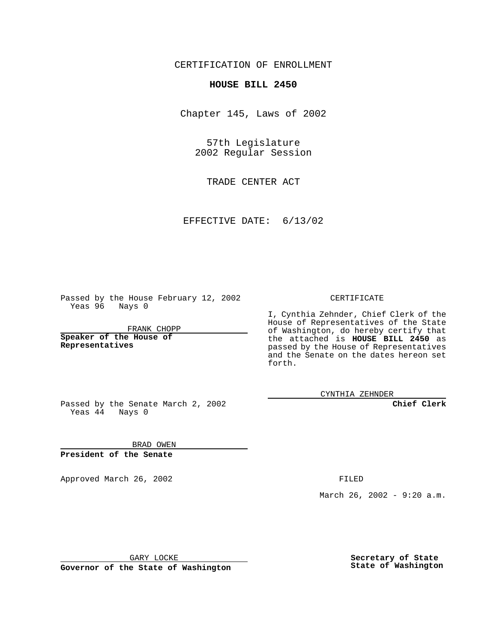CERTIFICATION OF ENROLLMENT

## **HOUSE BILL 2450**

Chapter 145, Laws of 2002

57th Legislature 2002 Regular Session

TRADE CENTER ACT

EFFECTIVE DATE: 6/13/02

Passed by the House February 12, 2002 Yeas 96 Nays 0

FRANK CHOPP

**Speaker of the House of Representatives**

CERTIFICATE

I, Cynthia Zehnder, Chief Clerk of the House of Representatives of the State of Washington, do hereby certify that the attached is **HOUSE BILL 2450** as passed by the House of Representatives and the Senate on the dates hereon set forth.

CYNTHIA ZEHNDER

**Chief Clerk**

Passed by the Senate March 2, 2002 Yeas  $4\overline{4}$  Nays 0

BRAD OWEN **President of the Senate**

Approved March 26, 2002 **FILED** 

March 26, 2002 - 9:20 a.m.

GARY LOCKE

**Governor of the State of Washington**

**Secretary of State State of Washington**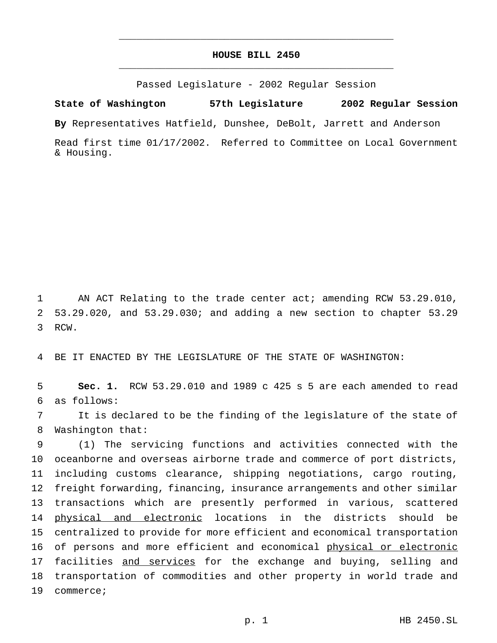## **HOUSE BILL 2450** \_\_\_\_\_\_\_\_\_\_\_\_\_\_\_\_\_\_\_\_\_\_\_\_\_\_\_\_\_\_\_\_\_\_\_\_\_\_\_\_\_\_\_\_\_\_\_

\_\_\_\_\_\_\_\_\_\_\_\_\_\_\_\_\_\_\_\_\_\_\_\_\_\_\_\_\_\_\_\_\_\_\_\_\_\_\_\_\_\_\_\_\_\_\_

Passed Legislature - 2002 Regular Session

**State of Washington 57th Legislature 2002 Regular Session**

**By** Representatives Hatfield, Dunshee, DeBolt, Jarrett and Anderson

Read first time 01/17/2002. Referred to Committee on Local Government & Housing.

1 AN ACT Relating to the trade center act; amending RCW 53.29.010, 2 53.29.020, and 53.29.030; and adding a new section to chapter 53.29 3 RCW.

4 BE IT ENACTED BY THE LEGISLATURE OF THE STATE OF WASHINGTON:

5 **Sec. 1.** RCW 53.29.010 and 1989 c 425 s 5 are each amended to read 6 as follows:

7 It is declared to be the finding of the legislature of the state of 8 Washington that:

 (1) The servicing functions and activities connected with the oceanborne and overseas airborne trade and commerce of port districts, including customs clearance, shipping negotiations, cargo routing, freight forwarding, financing, insurance arrangements and other similar transactions which are presently performed in various, scattered 14 physical and electronic locations in the districts should be centralized to provide for more efficient and economical transportation 16 of persons and more efficient and economical physical or electronic 17 facilities and services for the exchange and buying, selling and transportation of commodities and other property in world trade and commerce;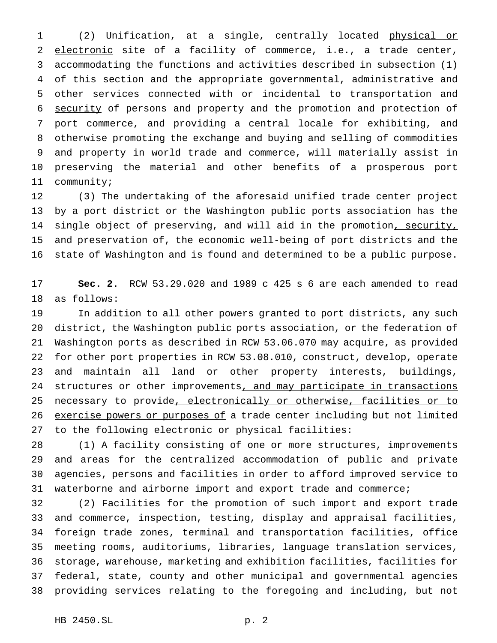(2) Unification, at a single, centrally located physical or 2 electronic site of a facility of commerce, i.e., a trade center, accommodating the functions and activities described in subsection (1) of this section and the appropriate governmental, administrative and other services connected with or incidental to transportation and security of persons and property and the promotion and protection of port commerce, and providing a central locale for exhibiting, and otherwise promoting the exchange and buying and selling of commodities and property in world trade and commerce, will materially assist in preserving the material and other benefits of a prosperous port community;

 (3) The undertaking of the aforesaid unified trade center project by a port district or the Washington public ports association has the 14 single object of preserving, and will aid in the promotion, security, and preservation of, the economic well-being of port districts and the state of Washington and is found and determined to be a public purpose.

 **Sec. 2.** RCW 53.29.020 and 1989 c 425 s 6 are each amended to read as follows:

 In addition to all other powers granted to port districts, any such district, the Washington public ports association, or the federation of Washington ports as described in RCW 53.06.070 may acquire, as provided for other port properties in RCW 53.08.010, construct, develop, operate and maintain all land or other property interests, buildings, 24 structures or other improvements, and may participate in transactions 25 necessary to provide, electronically or otherwise, facilities or to 26 exercise powers or purposes of a trade center including but not limited 27 to the following electronic or physical facilities:

 (1) A facility consisting of one or more structures, improvements and areas for the centralized accommodation of public and private agencies, persons and facilities in order to afford improved service to waterborne and airborne import and export trade and commerce;

 (2) Facilities for the promotion of such import and export trade and commerce, inspection, testing, display and appraisal facilities, foreign trade zones, terminal and transportation facilities, office meeting rooms, auditoriums, libraries, language translation services, storage, warehouse, marketing and exhibition facilities, facilities for federal, state, county and other municipal and governmental agencies providing services relating to the foregoing and including, but not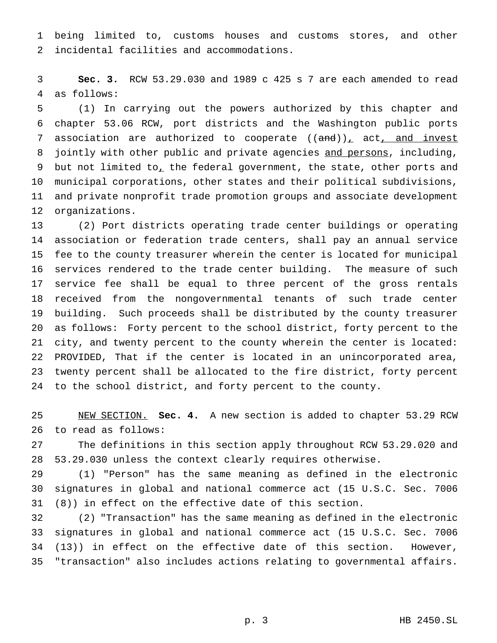being limited to, customs houses and customs stores, and other incidental facilities and accommodations.

 **Sec. 3.** RCW 53.29.030 and 1989 c 425 s 7 are each amended to read as follows:

 (1) In carrying out the powers authorized by this chapter and chapter 53.06 RCW, port districts and the Washington public ports 7 association are authorized to cooperate  $((and))_+$  act, and invest 8 jointly with other public and private agencies and persons, including, 9 but not limited to<sub>1</sub> the federal government, the state, other ports and municipal corporations, other states and their political subdivisions, and private nonprofit trade promotion groups and associate development organizations.

 (2) Port districts operating trade center buildings or operating association or federation trade centers, shall pay an annual service fee to the county treasurer wherein the center is located for municipal services rendered to the trade center building. The measure of such service fee shall be equal to three percent of the gross rentals received from the nongovernmental tenants of such trade center building. Such proceeds shall be distributed by the county treasurer as follows: Forty percent to the school district, forty percent to the city, and twenty percent to the county wherein the center is located: PROVIDED, That if the center is located in an unincorporated area, twenty percent shall be allocated to the fire district, forty percent to the school district, and forty percent to the county.

 NEW SECTION. **Sec. 4.** A new section is added to chapter 53.29 RCW to read as follows:

 The definitions in this section apply throughout RCW 53.29.020 and 53.29.030 unless the context clearly requires otherwise.

 (1) "Person" has the same meaning as defined in the electronic signatures in global and national commerce act (15 U.S.C. Sec. 7006 (8)) in effect on the effective date of this section.

 (2) "Transaction" has the same meaning as defined in the electronic signatures in global and national commerce act (15 U.S.C. Sec. 7006 (13)) in effect on the effective date of this section. However, "transaction" also includes actions relating to governmental affairs.